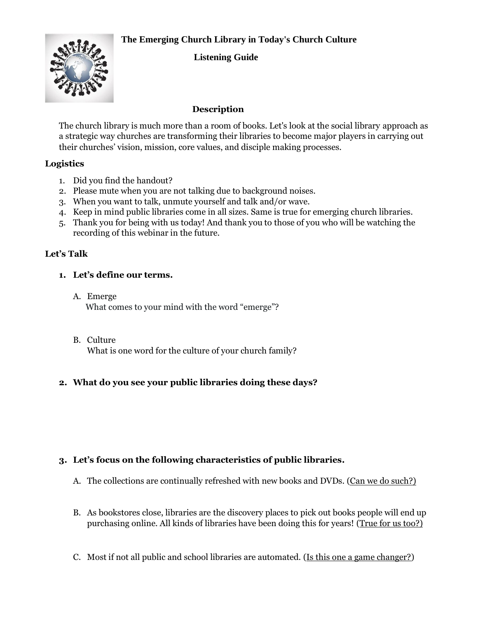# **The Emerging Church Library in Today's Church Culture**



# **Listening Guide**

## **Description**

The church library is much more than a room of books. Let's look at the social library approach as a strategic way churches are transforming their libraries to become major players in carrying out their churches' vision, mission, core values, and disciple making processes.

#### **Logistics**

- 1. Did you find the handout?
- 2. Please mute when you are not talking due to background noises.
- 3. When you want to talk, unmute yourself and talk and/or wave.
- 4. Keep in mind public libraries come in all sizes. Same is true for emerging church libraries.
- 5. Thank you for being with us today! And thank you to those of you who will be watching the recording of this webinar in the future.

#### **Let's Talk**

#### **1. Let's define our terms.**

- A. Emerge What comes to your mind with the word "emerge"?
- B. Culture What is one word for the culture of your church family?

## **2. What do you see your public libraries doing these days?**

## **3. Let's focus on the following characteristics of public libraries.**

- A. The collections are continually refreshed with new books and DVDs. (Can we do such?)
- B. As bookstores close, libraries are the discovery places to pick out books people will end up purchasing online. All kinds of libraries have been doing this for years! (True for us too?)
- C. Most if not all public and school libraries are automated. (Is this one a game changer?)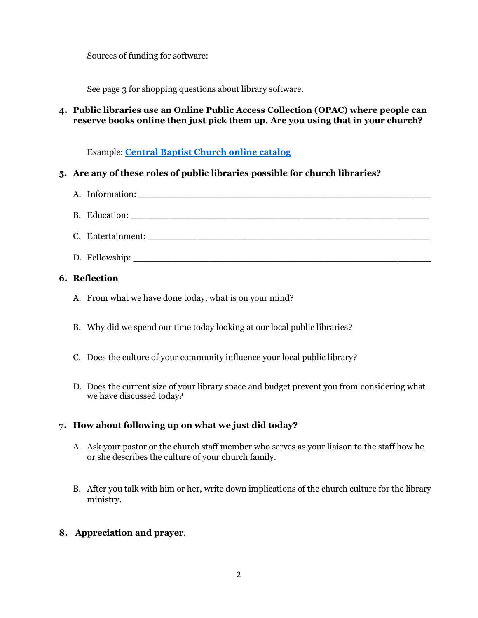Sources of funding for software:

See page 3 for shopping questions about library software.

# **4. Public libraries use an Online Public Access Collection (OPAC) where people can reserve books online then just pick them up. Are you using that in your church?**

Example: **[Central Baptist Church online catalog](https://cbcd.booksys.net/opac/cbcd/index.html#menuHome)**

# **5. Are any of these roles of public libraries possible for church libraries?**

| A. Information:                                                                                                                                                                                                                |
|--------------------------------------------------------------------------------------------------------------------------------------------------------------------------------------------------------------------------------|
|                                                                                                                                                                                                                                |
| C. Entertainment: University of the contract of the contract of the contract of the contract of the contract of the contract of the contract of the contract of the contract of the contract of the contract of the contract o |
|                                                                                                                                                                                                                                |

## **6. Reflection**

- A. From what we have done today, what is on your mind?
- B. Why did we spend our time today looking at our local public libraries?
- C. Does the culture of your community influence your local public library?
- D. Does the current size of your library space and budget prevent you from considering what we have discussed today?

## **7. How about following up on what we just did today?**

- A. Ask your pastor or the church staff member who serves as your liaison to the staff how he or she describes the culture of your church family.
- B. After you talk with him or her, write down implications of the church culture for the library ministry.
- **8. Appreciation and prayer**.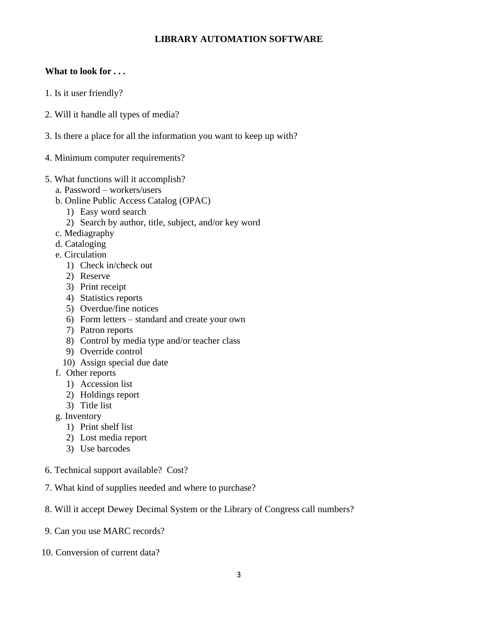## **LIBRARY AUTOMATION SOFTWARE**

### **What to look for . . .**

- 1. Is it user friendly?
- 2. Will it handle all types of media?
- 3. Is there a place for all the information you want to keep up with?
- 4. Minimum computer requirements?
- 5. What functions will it accomplish?
	- a. Password workers/users
	- b. Online Public Access Catalog (OPAC)
		- 1) Easy word search
		- 2) Search by author, title, subject, and/or key word
	- c. Mediagraphy
	- d. Cataloging
	- e. Circulation
		- 1) Check in/check out
		- 2) Reserve
		- 3) Print receipt
		- 4) Statistics reports
		- 5) Overdue/fine notices
		- 6) Form letters standard and create your own
		- 7) Patron reports
		- 8) Control by media type and/or teacher class
		- 9) Override control
		- 10) Assign special due date
	- f. Other reports
		- 1) Accession list
		- 2) Holdings report
		- 3) Title list
	- g. Inventory
		- 1) Print shelf list
		- 2) Lost media report
		- 3) Use barcodes
- 6. Technical support available? Cost?
- 7. What kind of supplies needed and where to purchase?
- 8. Will it accept Dewey Decimal System or the Library of Congress call numbers?
- 9. Can you use MARC records?
- 10. Conversion of current data?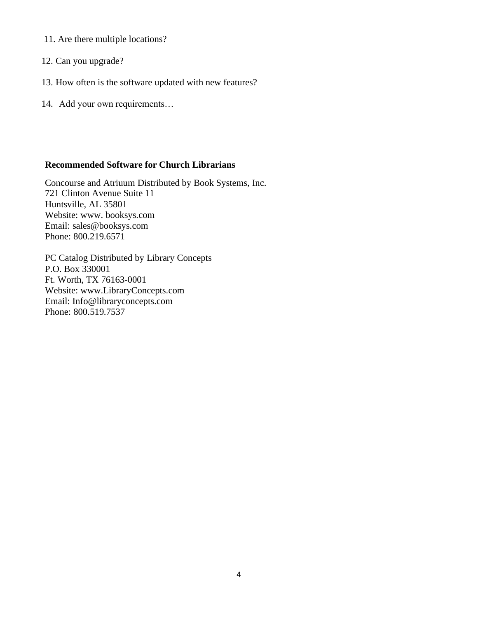- 11. Are there multiple locations?
- 12. Can you upgrade?
- 13. How often is the software updated with new features?
- 14. Add your own requirements…

### **Recommended Software for Church Librarians**

Concourse and Atriuum Distributed by Book Systems, Inc. 721 Clinton Avenue Suite 11 Huntsville, AL 35801 Website: www. booksys.com Email: [sales@booksys.com](mailto:sales@booksys.com) Phone: 800.219.6571

PC Catalog Distributed by Library Concepts P.O. Box 330001 Ft. Worth, TX 76163-0001 Website: www.LibraryConcepts.com Email: [Info@libraryconcepts.com](mailto:Info@libraryconcepts.com) Phone: 800.519.7537